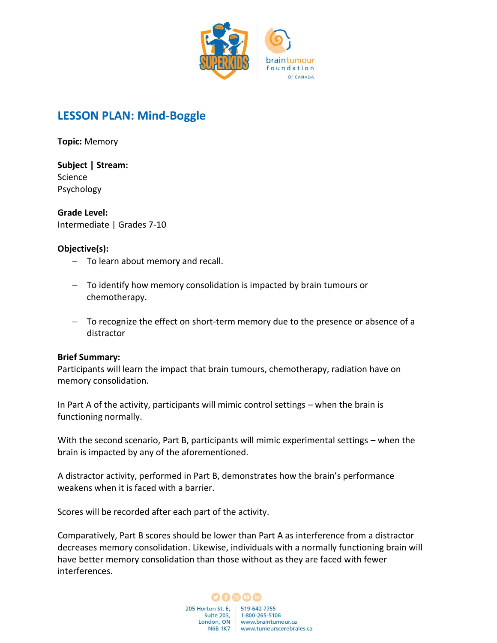

# **LESSON PLAN: Mind-Boggle**

**Topic:** Memory

**Subject | Stream:** Science Psychology

**Grade Level:** Intermediate | Grades 7-10

#### **Objective(s):**

- − To learn about memory and recall.
- − To identify how memory consolidation is impacted by brain tumours or chemotherapy.
- − To recognize the effect on short-term memory due to the presence or absence of a distractor

#### **Brief Summary:**

Participants will learn the impact that brain tumours, chemotherapy, radiation have on memory consolidation.

In Part A of the activity, participants will mimic control settings – when the brain is functioning normally.

With the second scenario, Part B, participants will mimic experimental settings – when the brain is impacted by any of the aforementioned.

A distractor activity, performed in Part B, demonstrates how the brain's performance weakens when it is faced with a barrier.

Scores will be recorded after each part of the activity.

Comparatively, Part B scores should be lower than Part A as interference from a distractor decreases memory consolidation. Likewise, individuals with a normally functioning brain will have better memory consolidation than those without as they are faced with fewer interferences.

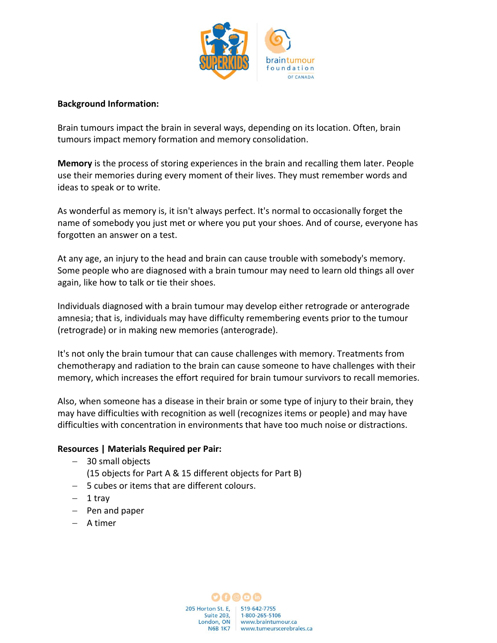

### **Background Information:**

Brain tumours impact the brain in several ways, depending on its location. Often, brain tumours impact memory formation and memory consolidation.

**Memory** is the process of storing experiences in the brain and recalling them later. People use their memories during every moment of their lives. They must remember words and ideas to speak or to write.

As wonderful as memory is, it isn't always perfect. It's normal to occasionally forget the name of somebody you just met or where you put your shoes. And of course, everyone has forgotten an answer on a test.

At any age, an injury to the head and brain can cause trouble with somebody's memory. Some people who are diagnosed with a brain tumour may need to learn old things all over again, like how to talk or tie their shoes.

Individuals diagnosed with a brain tumour may develop either retrograde or anterograde amnesia; that is, individuals may have difficulty remembering events prior to the tumour (retrograde) or in making new memories (anterograde).

It's not only the brain tumour that can cause challenges with memory. Treatments from chemotherapy and radiation to the brain can cause someone to have challenges with their memory, which increases the effort required for brain tumour survivors to recall memories.

Also, when someone has a disease in their brain or some type of injury to their brain, they may have difficulties with recognition as well (recognizes items or people) and may have difficulties with concentration in environments that have too much noise or distractions.

# **Resources | Materials Required per Pair:**

- − 30 small objects
	- (15 objects for Part A & 15 different objects for Part B)
- − 5 cubes or items that are different colours.
- − 1 tray
- − Pen and paper
- − A timer

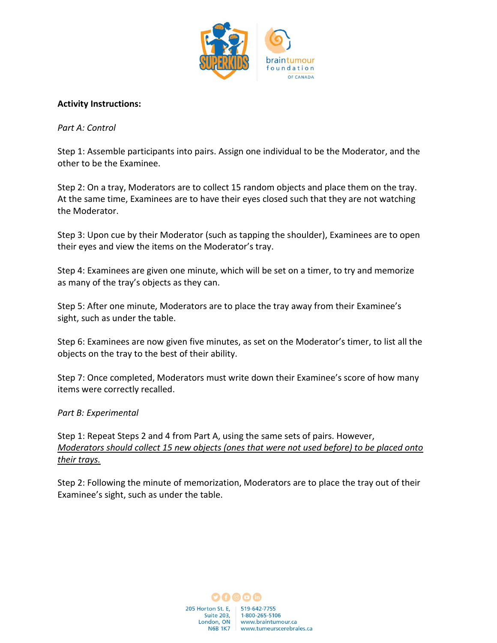

## **Activity Instructions:**

## *Part A: Control*

Step 1: Assemble participants into pairs. Assign one individual to be the Moderator, and the other to be the Examinee.

Step 2: On a tray, Moderators are to collect 15 random objects and place them on the tray. At the same time, Examinees are to have their eyes closed such that they are not watching the Moderator.

Step 3: Upon cue by their Moderator (such as tapping the shoulder), Examinees are to open their eyes and view the items on the Moderator's tray.

Step 4: Examinees are given one minute, which will be set on a timer, to try and memorize as many of the tray's objects as they can.

Step 5: After one minute, Moderators are to place the tray away from their Examinee's sight, such as under the table.

Step 6: Examinees are now given five minutes, as set on the Moderator's timer, to list all the objects on the tray to the best of their ability.

Step 7: Once completed, Moderators must write down their Examinee's score of how many items were correctly recalled.

#### *Part B: Experimental*

Step 1: Repeat Steps 2 and 4 from Part A, using the same sets of pairs. However, *Moderators should collect 15 new objects (ones that were not used before) to be placed onto their trays.*

Step 2: Following the minute of memorization, Moderators are to place the tray out of their Examinee's sight, such as under the table.